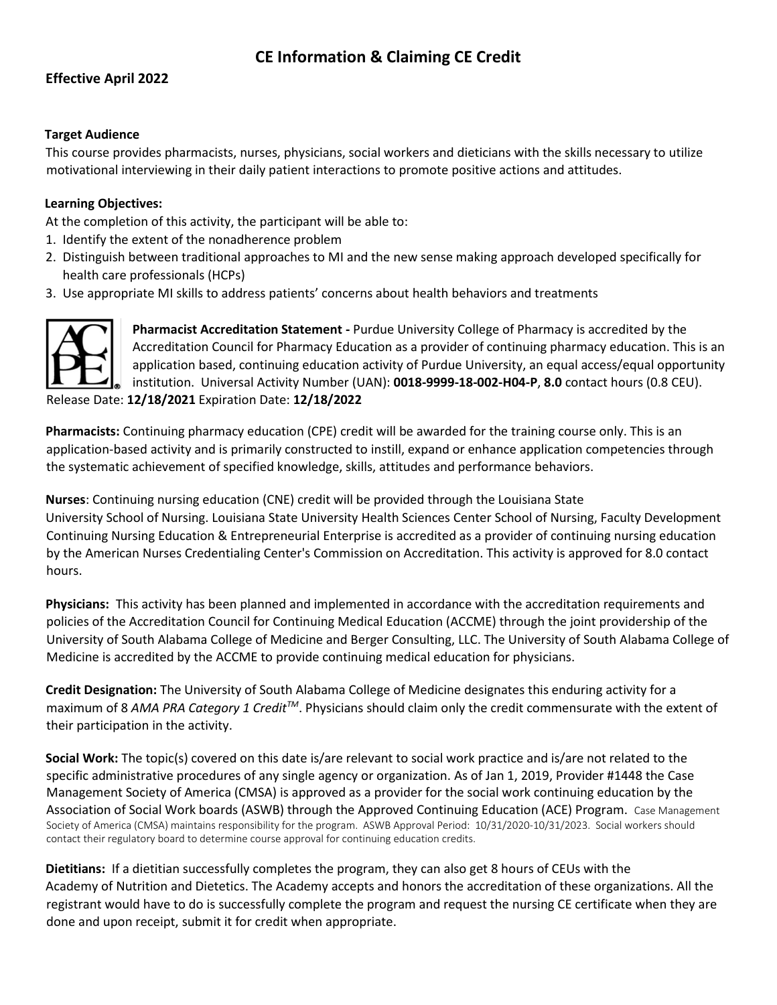# **CE Information & Claiming CE Credit**

## **Effective April 2022**

### **Target Audience**

This course provides pharmacists, nurses, physicians, social workers and dieticians with the skills necessary to utilize motivational interviewing in their daily patient interactions to promote positive actions and attitudes.

#### **Learning Objectives:**

At the completion of this activity, the participant will be able to:

- 1. Identify the extent of the nonadherence problem
- 2. Distinguish between traditional approaches to MI and the new sense making approach developed specifically for health care professionals (HCPs)
- 3. Use appropriate MI skills to address patients' concerns about health behaviors and treatments



**Pharmacist Accreditation Statement -** Purdue University College of Pharmacy is accredited by the Accreditation Council for Pharmacy Education as a provider of continuing pharmacy education. This is an application based, continuing education activity of Purdue University, an equal access/equal opportunity institution. Universal Activity Number (UAN): **0018-9999-18-002-H04-P**, **8.0** contact hours (0.8 CEU). Release Date: **12/18/2021** Expiration Date: **12/18/2022**

**Pharmacists:** Continuing pharmacy education (CPE) credit will be awarded for the training course only. This is an application-based activity and is primarily constructed to instill, expand or enhance application competencies through the systematic achievement of specified knowledge, skills, attitudes and performance behaviors.

**Nurses**: Continuing nursing education (CNE) credit will be provided through the Louisiana State University School of Nursing. Louisiana State University Health Sciences Center School of Nursing, Faculty Development Continuing Nursing Education & Entrepreneurial Enterprise is accredited as a provider of continuing nursing education by the American Nurses Credentialing Center's Commission on Accreditation. This activity is approved for 8.0 contact hours.

**Physicians:** This activity has been planned and implemented in accordance with the accreditation requirements and policies of the Accreditation Council for Continuing Medical Education (ACCME) through the joint providership of the University of South Alabama College of Medicine and Berger Consulting, LLC. The University of South Alabama College of Medicine is accredited by the ACCME to provide continuing medical education for physicians.

**Credit Designation:** The University of South Alabama College of Medicine designates this enduring activity for a maximum of 8 *AMA PRA Category 1 CreditTM*. Physicians should claim only the credit commensurate with the extent of their participation in the activity.

**Social Work:** The topic(s) covered on this date is/are relevant to social work practice and is/are not related to the specific administrative procedures of any single agency or organization. As of Jan 1, 2019, Provider #1448 the Case Management Society of America (CMSA) is approved as a provider for the social work continuing education by the Association of Social Work boards (ASWB) through the Approved Continuing Education (ACE) Program. Case Management Society of America (CMSA) maintains responsibility for the program. ASWB Approval Period: 10/31/2020-10/31/2023. Social workers should contact their regulatory board to determine course approval for continuing education credits.

**Dietitians:** If a dietitian successfully completes the program, they can also get 8 hours of CEUs with the Academy of Nutrition and Dietetics. The Academy accepts and honors the accreditation of these organizations. All the registrant would have to do is successfully complete the program and request the nursing CE certificate when they are done and upon receipt, submit it for credit when appropriate.